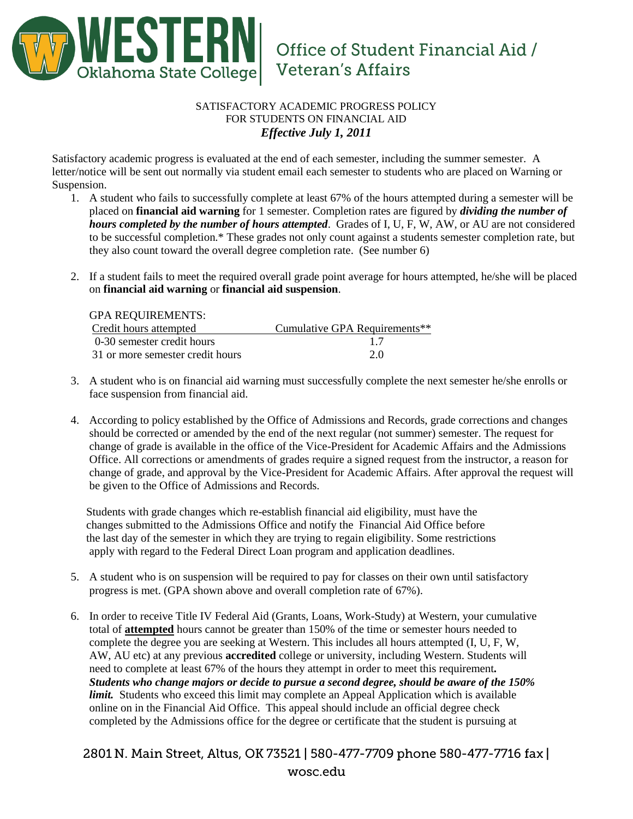

## SATISFACTORY ACADEMIC PROGRESS POLICY FOR STUDENTS ON FINANCIAL AID *Effective July 1, 2011*

Satisfactory academic progress is evaluated at the end of each semester, including the summer semester. A letter/notice will be sent out normally via student email each semester to students who are placed on Warning or Suspension.

- 1. A student who fails to successfully complete at least 67% of the hours attempted during a semester will be placed on **financial aid warning** for 1 semester. Completion rates are figured by *dividing the number of hours completed by the number of hours attempted*. Grades of I, U, F, W, AW, or AU are not considered to be successful completion.\* These grades not only count against a students semester completion rate, but they also count toward the overall degree completion rate. (See number 6)
- 2. If a student fails to meet the required overall grade point average for hours attempted, he/she will be placed on **financial aid warning** or **financial aid suspension**.

GPA REQUIREMENTS:

| Credit hours attempted           | Cumulative GPA Requirements** |
|----------------------------------|-------------------------------|
| 0-30 semester credit hours       |                               |
| 31 or more semester credit hours | 2.0                           |

- 3. A student who is on financial aid warning must successfully complete the next semester he/she enrolls or face suspension from financial aid.
- 4. According to policy established by the Office of Admissions and Records, grade corrections and changes should be corrected or amended by the end of the next regular (not summer) semester. The request for change of grade is available in the office of the Vice-President for Academic Affairs and the Admissions Office. All corrections or amendments of grades require a signed request from the instructor, a reason for change of grade, and approval by the Vice-President for Academic Affairs. After approval the request will be given to the Office of Admissions and Records.

 Students with grade changes which re-establish financial aid eligibility, must have the changes submitted to the Admissions Office and notify the Financial Aid Office before the last day of the semester in which they are trying to regain eligibility. Some restrictions apply with regard to the Federal Direct Loan program and application deadlines.

- 5. A student who is on suspension will be required to pay for classes on their own until satisfactory progress is met. (GPA shown above and overall completion rate of 67%).
- 6. In order to receive Title IV Federal Aid (Grants, Loans, Work-Study) at Western, your cumulative total of **attempted** hours cannot be greater than 150% of the time or semester hours needed to complete the degree you are seeking at Western. This includes all hours attempted (I, U, F, W, AW, AU etc) at any previous **accredited** college or university, including Western. Students will need to complete at least 67% of the hours they attempt in order to meet this requirement*. Students who change majors or decide to pursue a second degree, should be aware of the 150% limit.* Students who exceed this limit may complete an Appeal Application which is available online on in the Financial Aid Office. This appeal should include an official degree check completed by the Admissions office for the degree or certificate that the student is pursuing at

2801 N. Main Street, Altus, OK 73521 | 580-477-7709 phone 580-477-7716 fax | wosc.edu